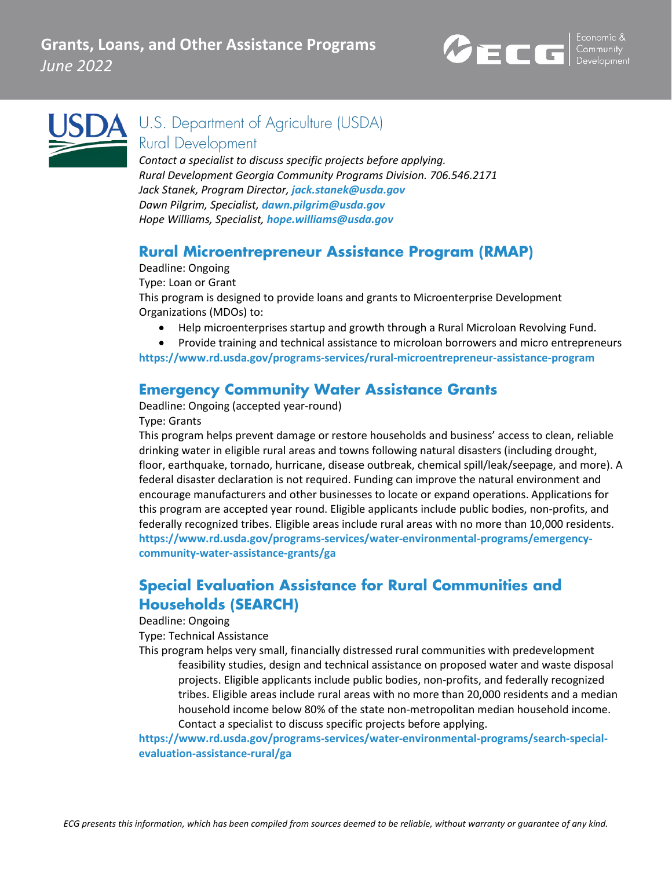



U.S. Department of Agriculture (USDA) Rural Development

*Contact a specialist to discuss specific projects before applying. Rural Development Georgia Community Programs Division. 706.546.2171 Jack Stanek, Program Director, [jack.stanek@usda.gov](mailto:jack.stanek@usda.gov) Dawn Pilgrim, Specialist, [dawn.pilgrim@usda.gov](mailto:dawn.pilgrim@usda.gov) Hope Williams, Specialist, [hope.williams@usda.gov](mailto:hope.williams@usda.gov)*

#### **Rural Microentrepreneur Assistance Program (RMAP)**

Deadline: Ongoing

Type: Loan or Grant

This program is designed to provide loans and grants to Microenterprise Development Organizations (MDOs) to:

• Help microenterprises startup and growth through a Rural Microloan Revolving Fund.

• Provide training and technical assistance to microloan borrowers and micro entrepreneurs **<https://www.rd.usda.gov/programs-services/rural-microentrepreneur-assistance-program>**

### **Emergency Community Water Assistance Grants**

Deadline: Ongoing (accepted year-round)

Type: Grants

This program helps prevent damage or restore households and business' access to clean, reliable drinking water in eligible rural areas and towns following natural disasters (including drought, floor, earthquake, tornado, hurricane, disease outbreak, chemical spill/leak/seepage, and more). A federal disaster declaration is not required. Funding can improve the natural environment and encourage manufacturers and other businesses to locate or expand operations. Applications for this program are accepted year round. Eligible applicants include public bodies, non-profits, and federally recognized tribes. Eligible areas include rural areas with no more than 10,000 residents. **[https://www.rd.usda.gov/programs-services/water-environmental-programs/emergency](https://www.rd.usda.gov/programs-services/water-environmental-programs/emergency-community-water-assistance-grants/ga)[community-water-assistance-grants/ga](https://www.rd.usda.gov/programs-services/water-environmental-programs/emergency-community-water-assistance-grants/ga)**

## **Special Evaluation Assistance for Rural Communities and Households (SEARCH)**

Deadline: Ongoing

Type: Technical Assistance

This program helps very small, financially distressed rural communities with predevelopment feasibility studies, design and technical assistance on proposed water and waste disposal projects. Eligible applicants include public bodies, non-profits, and federally recognized tribes. Eligible areas include rural areas with no more than 20,000 residents and a median household income below 80% of the state non-metropolitan median household income. Contact a specialist to discuss specific projects before applying.

**[https://www.rd.usda.gov/programs-services/water-environmental-programs/search-special](https://www.rd.usda.gov/programs-services/water-environmental-programs/search-special-evaluation-assistance-rural/ga)[evaluation-assistance-rural/ga](https://www.rd.usda.gov/programs-services/water-environmental-programs/search-special-evaluation-assistance-rural/ga)**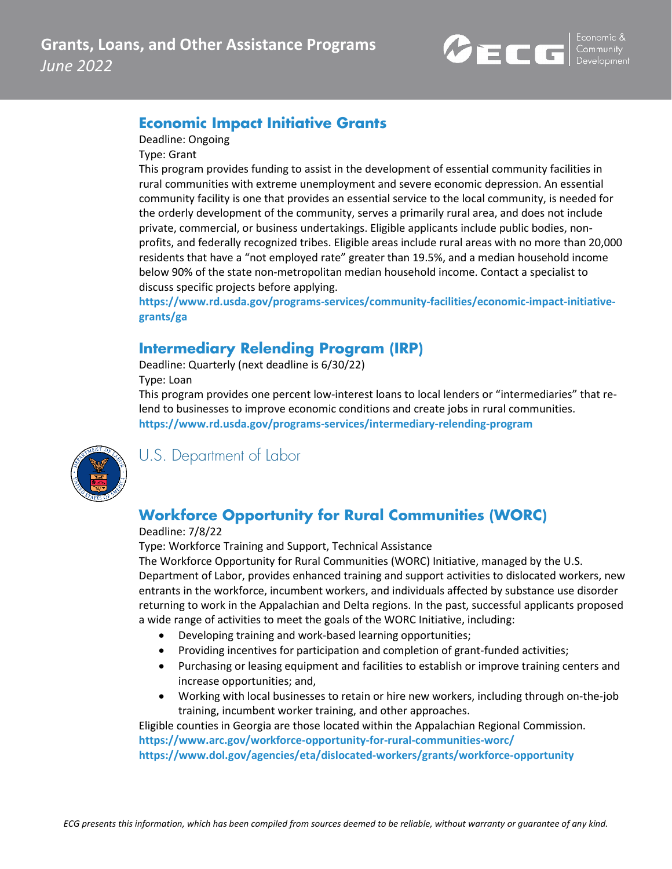

### **Economic Impact Initiative Grants**

Deadline: Ongoing

Type: Grant

This program provides funding to assist in the development of essential community facilities in rural communities with extreme unemployment and severe economic depression. An essential community facility is one that provides an essential service to the local community, is needed for the orderly development of the community, serves a primarily rural area, and does not include private, commercial, or business undertakings. Eligible applicants include public bodies, nonprofits, and federally recognized tribes. Eligible areas include rural areas with no more than 20,000 residents that have a "not employed rate" greater than 19.5%, and a median household income below 90% of the state non-metropolitan median household income. Contact a specialist to discuss specific projects before applying.

**[https://www.rd.usda.gov/programs-services/community-facilities/economic-impact-initiative](https://www.rd.usda.gov/programs-services/community-facilities/economic-impact-initiative-grants/ga)[grants/ga](https://www.rd.usda.gov/programs-services/community-facilities/economic-impact-initiative-grants/ga)**

#### **Intermediary Relending Program (IRP)**

Deadline: Quarterly (next deadline is 6/30/22) Type: Loan

This program provides one percent low-interest loans to local lenders or "intermediaries" that relend to businesses to improve economic conditions and create jobs in rural communities. **<https://www.rd.usda.gov/programs-services/intermediary-relending-program>**



U.S. Department of Labor

## **Workforce Opportunity for Rural Communities (WORC)**

#### Deadline: 7/8/22

Type: Workforce Training and Support, Technical Assistance

The Workforce Opportunity for Rural Communities (WORC) Initiative, managed by the U.S. Department of Labor, provides enhanced training and support activities to dislocated workers, new entrants in the workforce, incumbent workers, and individuals affected by substance use disorder returning to work in the Appalachian and Delta regions. In the past, successful applicants proposed a wide range of activities to meet the goals of the WORC Initiative, including:

- Developing training and work-based learning opportunities;
- Providing incentives for participation and completion of grant-funded activities;
- Purchasing or leasing equipment and facilities to establish or improve training centers and increase opportunities; and,
- Working with local businesses to retain or hire new workers, including through on-the-job training, incumbent worker training, and other approaches.

Eligible counties in Georgia are those located within the Appalachian Regional Commission. **<https://www.arc.gov/workforce-opportunity-for-rural-communities-worc/> <https://www.dol.gov/agencies/eta/dislocated-workers/grants/workforce-opportunity>**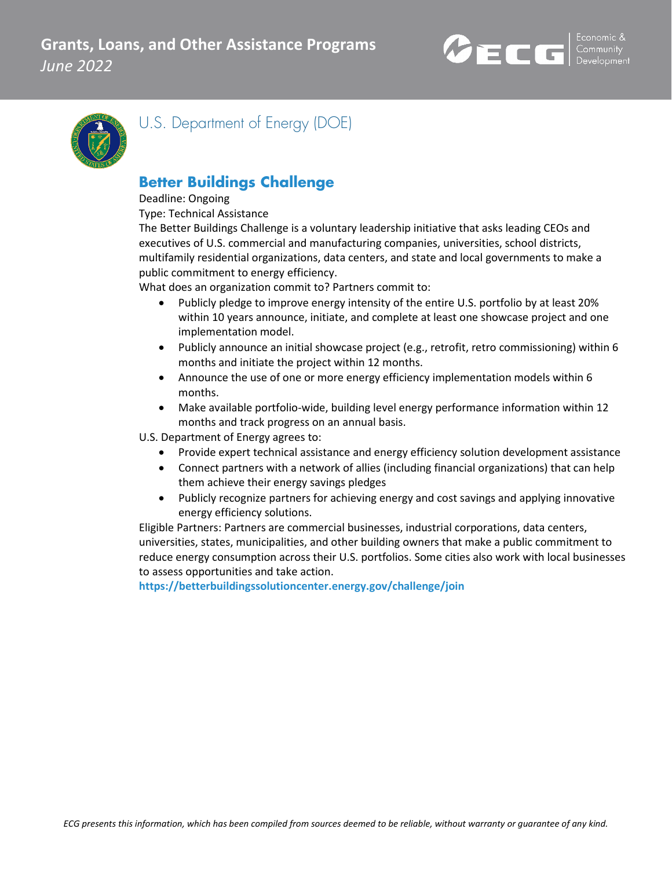



U.S. Department of Energy (DOE)

## **Better Buildings Challenge**

#### Deadline: Ongoing

Type: Technical Assistance

The Better Buildings Challenge is a voluntary leadership initiative that asks leading CEOs and executives of U.S. commercial and manufacturing companies, universities, school districts, multifamily residential organizations, data centers, and state and local governments to make a public commitment to energy efficiency.

What does an organization commit to? Partners commit to:

- Publicly pledge to improve energy intensity of the entire U.S. portfolio by at least 20% within 10 years announce, initiate, and complete at least one showcase project and one implementation model.
- Publicly announce an initial showcase project (e.g., retrofit, retro commissioning) within 6 months and initiate the project within 12 months.
- Announce the use of one or more energy efficiency implementation models within 6 months.
- Make available portfolio-wide, building level energy performance information within 12 months and track progress on an annual basis.

U.S. Department of Energy agrees to:

- Provide expert technical assistance and energy efficiency solution development assistance
- Connect partners with a network of allies (including financial organizations) that can help them achieve their energy savings pledges
- Publicly recognize partners for achieving energy and cost savings and applying innovative energy efficiency solutions.

Eligible Partners: Partners are commercial businesses, industrial corporations, data centers, universities, states, municipalities, and other building owners that make a public commitment to reduce energy consumption across their U.S. portfolios. Some cities also work with local businesses to assess opportunities and take action.

**<https://betterbuildingssolutioncenter.energy.gov/challenge/join>**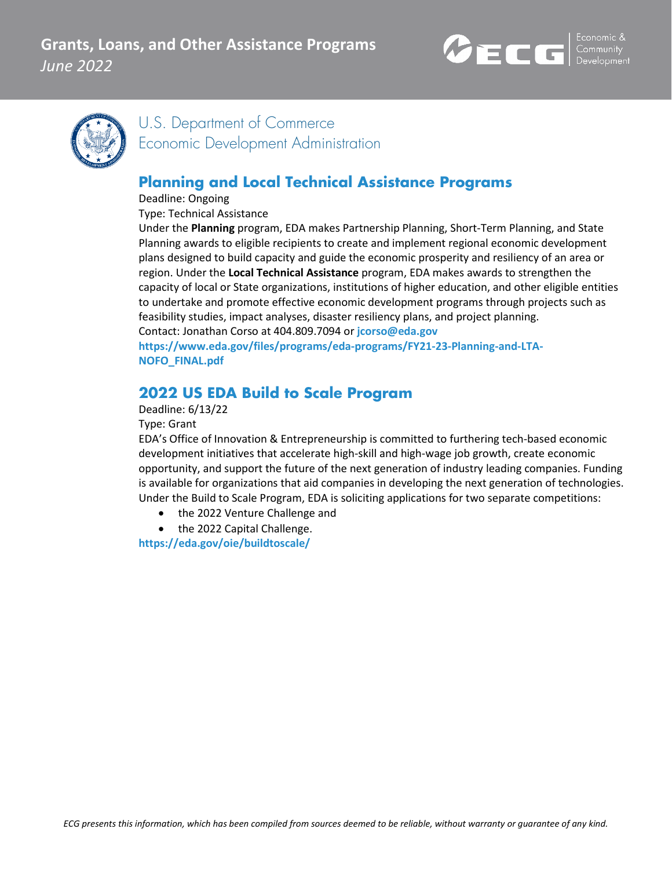



U.S. Department of Commerce Economic Development Administration

## **Planning and Local Technical Assistance Programs**

Deadline: Ongoing

Type: Technical Assistance

Under the **Planning** program, EDA makes Partnership Planning, Short-Term Planning, and State Planning awards to eligible recipients to create and implement regional economic development plans designed to build capacity and guide the economic prosperity and resiliency of an area or region. Under the **Local Technical Assistance** program, EDA makes awards to strengthen the capacity of local or State organizations, institutions of higher education, and other eligible entities to undertake and promote effective economic development programs through projects such as feasibility studies, impact analyses, disaster resiliency plans, and project planning. Contact: Jonathan Corso at 404.809.7094 or **[jcorso@eda.gov](mailto:jcorso@eda.gov)**

**[https://www.eda.gov/files/programs/eda-programs/FY21-23-Planning-and-LTA-](https://www.eda.gov/files/programs/eda-programs/FY21-23-Planning-and-LTA-NOFO_FINAL.pdf)[NOFO\\_FINAL.pdf](https://www.eda.gov/files/programs/eda-programs/FY21-23-Planning-and-LTA-NOFO_FINAL.pdf)**

## **2022 US EDA Build to Scale Program**

Deadline: 6/13/22

Type: Grant

EDA's Office of Innovation & Entrepreneurship is committed to furthering tech-based economic development initiatives that accelerate high-skill and high-wage job growth, create economic opportunity, and support the future of the next generation of industry leading companies. Funding is available for organizations that aid companies in developing the next generation of technologies. Under the Build to Scale Program, EDA is soliciting applications for two separate competitions:

- the 2022 Venture Challenge and
- the 2022 Capital Challenge.

**<https://eda.gov/oie/buildtoscale/>**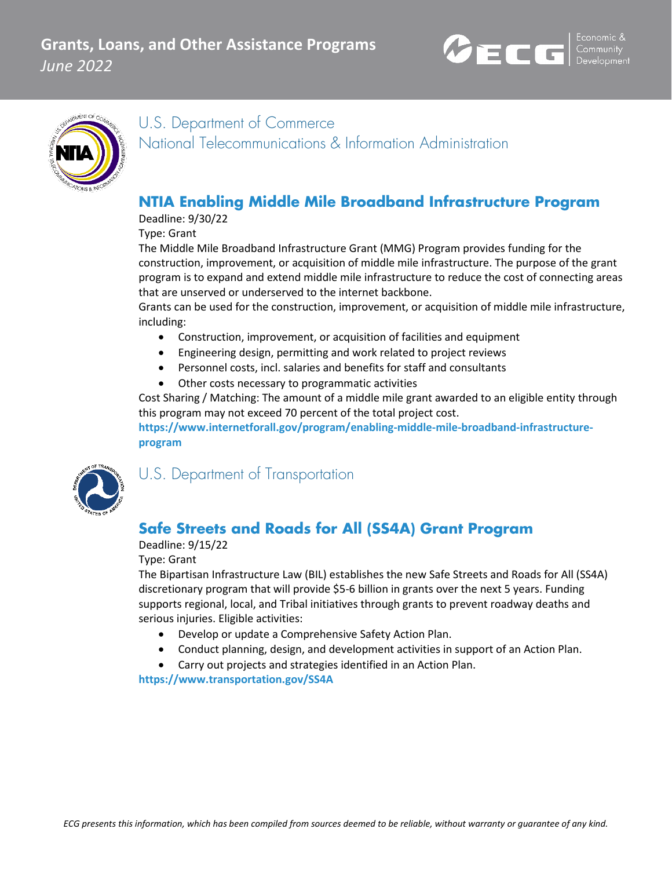



U.S. Department of Commerce National Telecommunications & Information Administration

### **NTIA Enabling Middle Mile Broadband Infrastructure Program**

Deadline: 9/30/22

Type: Grant

The Middle Mile Broadband Infrastructure Grant (MMG) Program provides funding for the construction, improvement, or acquisition of middle mile infrastructure. The purpose of the grant program is to expand and extend middle mile infrastructure to reduce the cost of connecting areas that are unserved or underserved to the internet backbone.

Grants can be used for the construction, improvement, or acquisition of middle mile infrastructure, including:

- Construction, improvement, or acquisition of facilities and equipment
- Engineering design, permitting and work related to project reviews
- Personnel costs, incl. salaries and benefits for staff and consultants
- Other costs necessary to programmatic activities

Cost Sharing / Matching: The amount of a middle mile grant awarded to an eligible entity through this program may not exceed 70 percent of the total project cost.

**[https://www.internetforall.gov/program/enabling-middle-mile-broadband-infrastructure](https://www.internetforall.gov/program/enabling-middle-mile-broadband-infrastructure-program)[program](https://www.internetforall.gov/program/enabling-middle-mile-broadband-infrastructure-program)**



U.S. Department of Transportation

## **Safe Streets and Roads for All (SS4A) Grant Program**

Deadline: 9/15/22

Type: Grant

The Bipartisan Infrastructure Law (BIL) establishes the new Safe Streets and Roads for All (SS4A) discretionary program that will provide \$5-6 billion in grants over the next 5 years. Funding supports regional, local, and Tribal initiatives through grants to prevent roadway deaths and serious injuries. Eligible activities:

- Develop or update a Comprehensive Safety Action Plan.
- Conduct planning, design, and development activities in support of an Action Plan.
- Carry out projects and strategies identified in an Action Plan.

**<https://www.transportation.gov/SS4A>**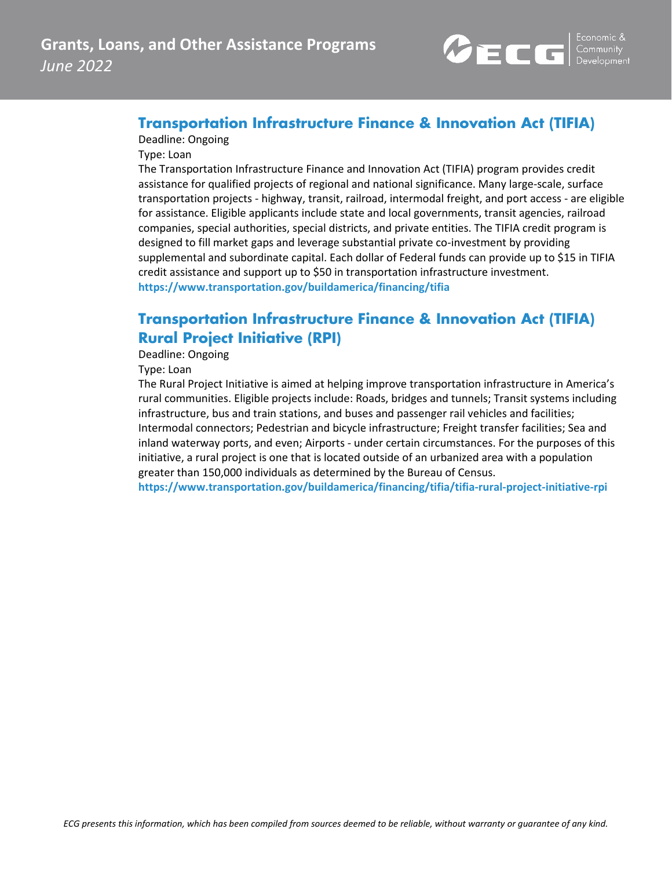

#### **Transportation Infrastructure Finance & Innovation Act (TIFIA)**

#### Deadline: Ongoing

Type: Loan

The Transportation Infrastructure Finance and Innovation Act (TIFIA) program provides credit assistance for qualified projects of regional and national significance. Many large-scale, surface transportation projects - highway, transit, railroad, intermodal freight, and port access - are eligible for assistance. Eligible applicants include state and local governments, transit agencies, railroad companies, special authorities, special districts, and private entities. The TIFIA credit program is designed to fill market gaps and leverage substantial private co-investment by providing supplemental and subordinate capital. Each dollar of Federal funds can provide up to \$15 in TIFIA credit assistance and support up to \$50 in transportation infrastructure investment. **<https://www.transportation.gov/buildamerica/financing/tifia>**

### **Transportation Infrastructure Finance & Innovation Act (TIFIA) Rural Project Initiative (RPI)**

Deadline: Ongoing

Type: Loan

The Rural Project Initiative is aimed at helping improve transportation infrastructure in America's rural communities. Eligible projects include: Roads, bridges and tunnels; Transit systems including infrastructure, bus and train stations, and buses and passenger rail vehicles and facilities; Intermodal connectors; Pedestrian and bicycle infrastructure; Freight transfer facilities; Sea and inland waterway ports, and even; Airports - under certain circumstances. For the purposes of this initiative, a rural project is one that is located outside of an urbanized area with a population greater than 150,000 individuals as determined by the Bureau of Census.

**<https://www.transportation.gov/buildamerica/financing/tifia/tifia-rural-project-initiative-rpi>**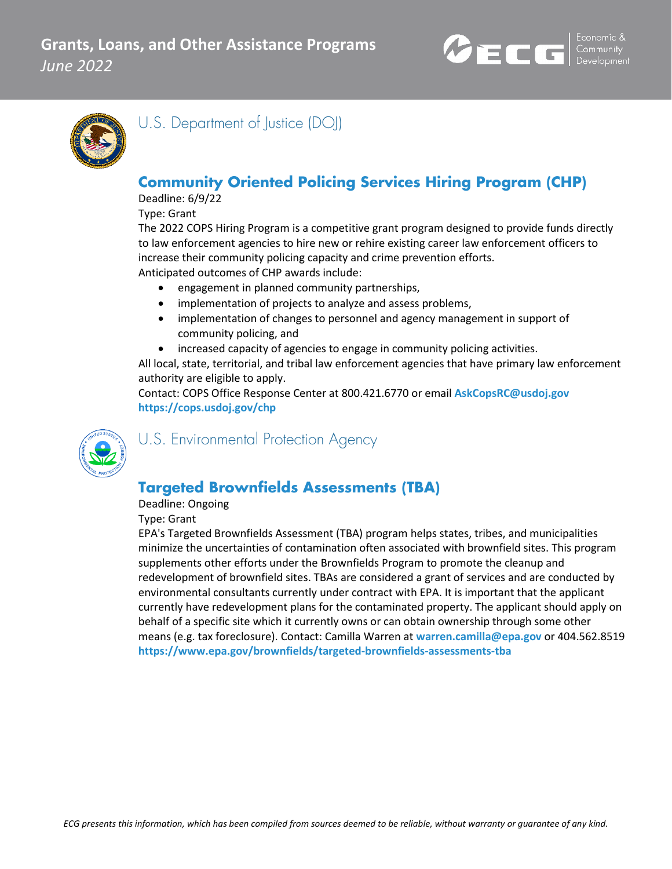



U.S. Department of Justice (DOJ)

## **Community Oriented Policing Services Hiring Program (CHP)**

Deadline: 6/9/22

Type: Grant

The 2022 COPS Hiring Program is a competitive grant program designed to provide funds directly to law enforcement agencies to hire new or rehire existing career law enforcement officers to increase their community policing capacity and crime prevention efforts. Anticipated outcomes of CHP awards include:

- engagement in planned community partnerships,
- implementation of projects to analyze and assess problems,
- implementation of changes to personnel and agency management in support of community policing, and
- increased capacity of agencies to engage in community policing activities.

All local, state, territorial, and tribal law enforcement agencies that have primary law enforcement authority are eligible to apply.

Contact: COPS Office Response Center at 800.421.6770 or email **[AskCopsRC@usdoj.gov](mailto:AskCopsRC@usdoj.gov) <https://cops.usdoj.gov/chp>**



U.S. Environmental Protection Agency

## **Targeted Brownfields Assessments (TBA)**

Deadline: Ongoing

Type: Grant

EPA's Targeted Brownfields Assessment (TBA) program helps states, tribes, and municipalities minimize the uncertainties of contamination often associated with brownfield sites. This program supplements other efforts under the Brownfields Program to promote the cleanup and redevelopment of brownfield sites. TBAs are considered a grant of services and are conducted by environmental consultants currently under contract with EPA. It is important that the applicant currently have redevelopment plans for the contaminated property. The applicant should apply on behalf of a specific site which it currently owns or can obtain ownership through some other means (e.g. tax foreclosure). Contact: Camilla Warren at **[warren.camilla@epa.gov](mailto:warren.camilla@epa.gov)** or 404.562.8519 **<https://www.epa.gov/brownfields/targeted-brownfields-assessments-tba>**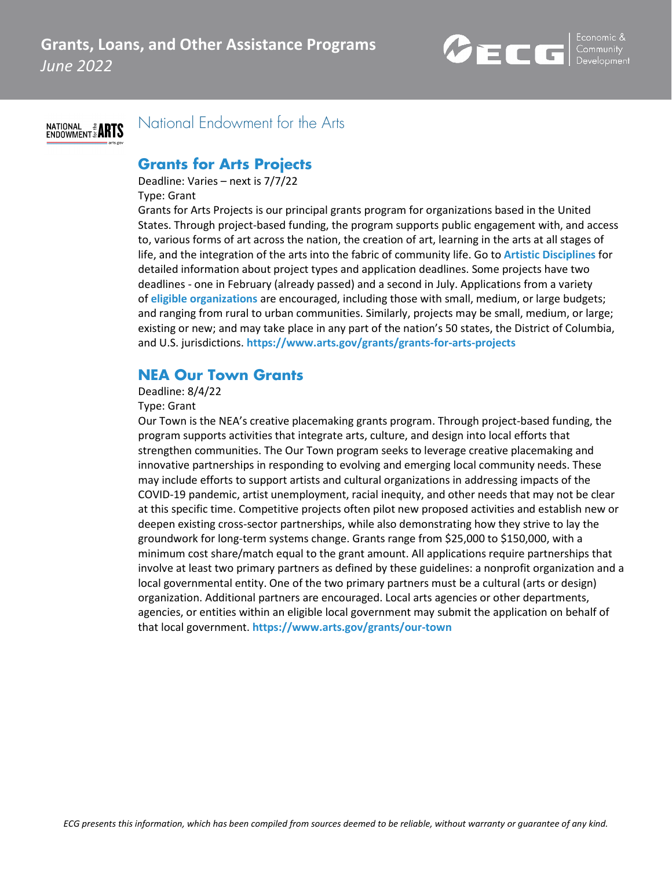



National Endowment for the Arts

#### **Grants for Arts Projects**

Deadline: Varies – next is 7/7/22

Type: Grant

Grants for Arts Projects is our principal grants program for organizations based in the United States. Through project-based funding, the program supports public engagement with, and access to, various forms of art across the nation, the creation of art, learning in the arts at all stages of life, and the integration of the arts into the fabric of community life. Go to **[Artistic Disciplines](https://www.arts.gov/grants/grants-for-arts-projects/artistic-disciplines)** for detailed information about project types and application deadlines. Some projects have two deadlines - one in February (already passed) and a second in July. Applications from a variety of **[eligible organizations](https://www.arts.gov/grants/grants-for-arts-projects/eligibility)** are encouraged, including those with small, medium, or large budgets; and ranging from rural to urban communities. Similarly, projects may be small, medium, or large; existing or new; and may take place in any part of the nation's 50 states, the District of Columbia, and U.S. jurisdictions. **<https://www.arts.gov/grants/grants-for-arts-projects>**

## **NEA Our Town Grants**

#### Deadline: 8/4/22

#### Type: Grant

Our Town is the NEA's creative placemaking grants program. Through project-based funding, the program supports activities that integrate arts, culture, and design into local efforts that strengthen communities. The Our Town program seeks to leverage creative placemaking and innovative partnerships in responding to evolving and emerging local community needs. These may include efforts to support artists and cultural organizations in addressing impacts of the COVID-19 pandemic, artist unemployment, racial inequity, and other needs that may not be clear at this specific time. Competitive projects often pilot new proposed activities and establish new or deepen existing cross-sector partnerships, while also demonstrating how they strive to lay the groundwork for long-term systems change. Grants range from \$25,000 to \$150,000, with a minimum cost share/match equal to the grant amount. All applications require partnerships that involve at least two primary partners as defined by these guidelines: a nonprofit organization and a local governmental entity. One of the two primary partners must be a cultural (arts or design) organization. Additional partners are encouraged. Local arts agencies or other departments, agencies, or entities within an eligible local government may submit the application on behalf of that local government. **<https://www.arts.gov/grants/our-town>**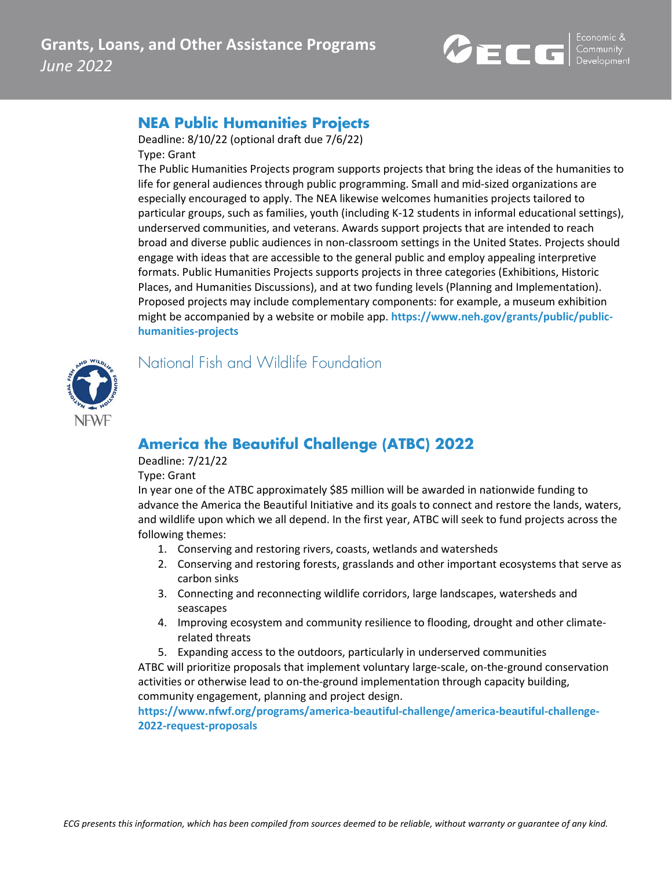

### **NEA Public Humanities Projects**

Deadline: 8/10/22 (optional draft due 7/6/22) Type: Grant

The Public Humanities Projects program supports projects that bring the ideas of the humanities to life for general audiences through public programming. Small and mid-sized organizations are especially encouraged to apply. The NEA likewise welcomes humanities projects tailored to particular groups, such as families, youth (including K-12 students in informal educational settings), underserved communities, and veterans. Awards support projects that are intended to reach broad and diverse public audiences in non-classroom settings in the United States. Projects should engage with ideas that are accessible to the general public and employ appealing interpretive formats. Public Humanities Projects supports projects in three categories (Exhibitions, Historic Places, and Humanities Discussions), and at two funding levels (Planning and Implementation). Proposed projects may include complementary components: for example, a museum exhibition might be accompanied by a website or mobile app. **[https://www.neh.gov/grants/public/public](https://www.neh.gov/grants/public/public-humanities-projects)[humanities-projects](https://www.neh.gov/grants/public/public-humanities-projects)**



National Fish and Wildlife Foundation

## **America the Beautiful Challenge (ATBC) 2022**

Deadline: 7/21/22

Type: Grant

In year one of the ATBC approximately \$85 million will be awarded in nationwide funding to advance the America the Beautiful Initiative and its goals to connect and restore the lands, waters, and wildlife upon which we all depend. In the first year, ATBC will seek to fund projects across the following themes:

- 1. Conserving and restoring rivers, coasts, wetlands and watersheds
- 2. Conserving and restoring forests, grasslands and other important ecosystems that serve as carbon sinks
- 3. Connecting and reconnecting wildlife corridors, large landscapes, watersheds and seascapes
- 4. Improving ecosystem and community resilience to flooding, drought and other climaterelated threats
- 5. Expanding access to the outdoors, particularly in underserved communities

ATBC will prioritize proposals that implement voluntary large-scale, on-the-ground conservation activities or otherwise lead to on-the-ground implementation through capacity building, community engagement, planning and project design.

**[https://www.nfwf.org/programs/america-beautiful-challenge/america-beautiful-challenge-](https://www.nfwf.org/programs/america-beautiful-challenge/america-beautiful-challenge-2022-request-proposals)[2022-request-proposals](https://www.nfwf.org/programs/america-beautiful-challenge/america-beautiful-challenge-2022-request-proposals)**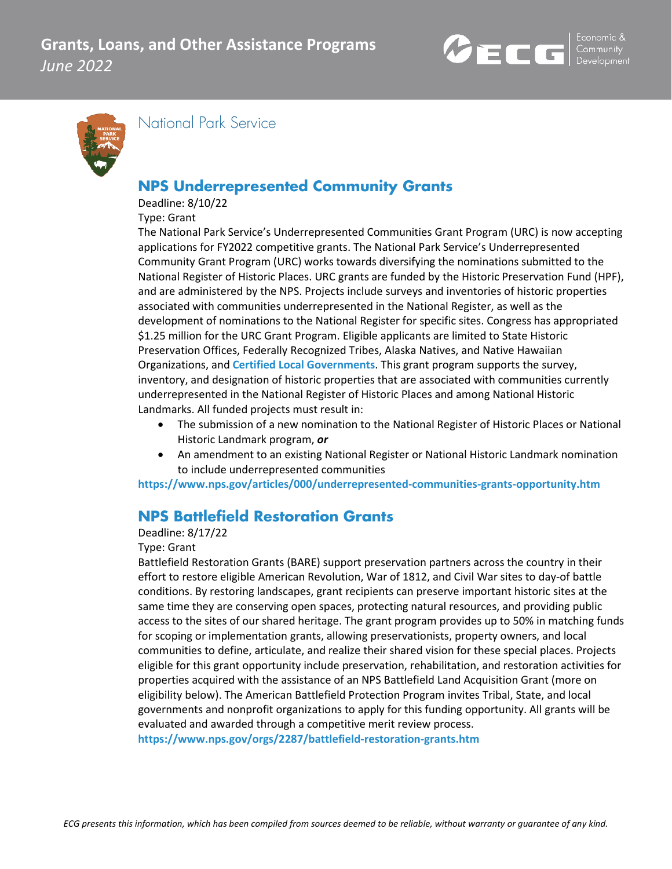



National Park Service

## **NPS Underrepresented Community Grants**

Deadline: 8/10/22

Type: Grant

The National Park Service's Underrepresented Communities Grant Program (URC) is now accepting applications for FY2022 competitive grants. The National Park Service's Underrepresented Community Grant Program (URC) works towards diversifying the nominations submitted to the National Register of Historic Places. URC grants are funded by the Historic Preservation Fund (HPF), and are administered by the NPS. Projects include surveys and inventories of historic properties associated with communities underrepresented in the National Register, as well as the development of nominations to the National Register for specific sites. Congress has appropriated \$1.25 million for the URC Grant Program. Eligible applicants are limited to State Historic Preservation Offices, Federally Recognized Tribes, Alaska Natives, and Native Hawaiian Organizations, and **[Certified Local Governments](https://www.dca.ga.gov/georgia-historic-preservation-division/community-assistance/certified-local-governments)**. This grant program supports the survey, inventory, and designation of historic properties that are associated with communities currently underrepresented in the National Register of Historic Places and among National Historic Landmarks. All funded projects must result in:

- The submission of a new nomination to the National Register of Historic Places or National Historic Landmark program, *or*
- An amendment to an existing National Register or National Historic Landmark nomination to include underrepresented communities

**<https://www.nps.gov/articles/000/underrepresented-communities-grants-opportunity.htm>**

## **NPS Battlefield Restoration Grants**

#### Deadline: 8/17/22

#### Type: Grant

Battlefield Restoration Grants (BARE) support preservation partners across the country in their effort to restore eligible American Revolution, War of 1812, and Civil War sites to day-of battle conditions. By restoring landscapes, grant recipients can preserve important historic sites at the same time they are conserving open spaces, protecting natural resources, and providing public access to the sites of our shared heritage. The grant program provides up to 50% in matching funds for scoping or implementation grants, allowing preservationists, property owners, and local communities to define, articulate, and realize their shared vision for these special places. Projects eligible for this grant opportunity include preservation, rehabilitation, and restoration activities for properties acquired with the assistance of an NPS Battlefield Land Acquisition Grant (more on eligibility below). The American Battlefield Protection Program invites Tribal, State, and local governments and nonprofit organizations to apply for this funding opportunity. All grants will be evaluated and awarded through a competitive merit review process.

**<https://www.nps.gov/orgs/2287/battlefield-restoration-grants.htm>**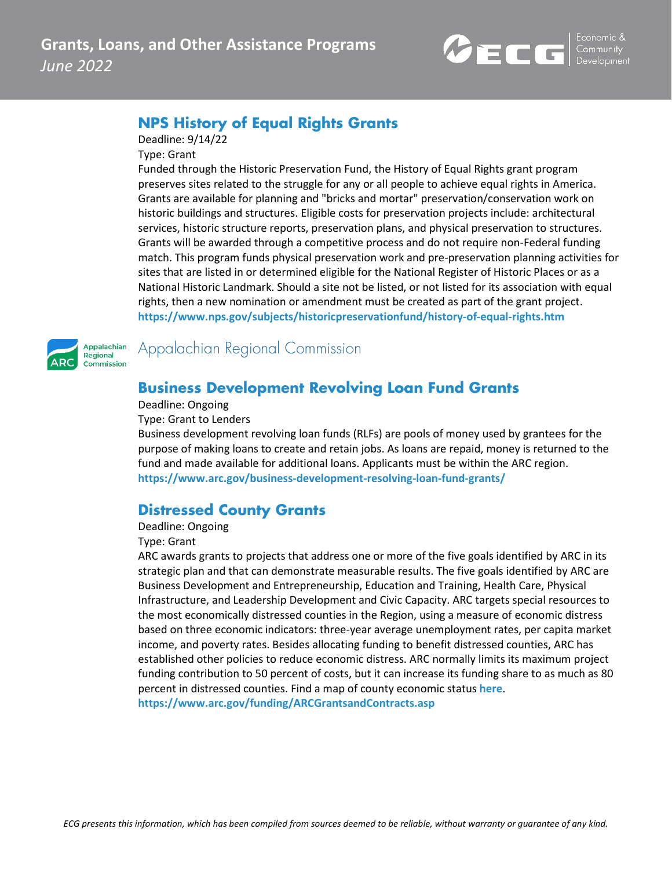

## **NPS History of Equal Rights Grants**

Deadline: 9/14/22

Type: Grant

Funded through the Historic Preservation Fund, the History of Equal Rights grant program preserves sites related to the struggle for any or all people to achieve equal rights in America. Grants are available for planning and "bricks and mortar" preservation/conservation work on historic buildings and structures. Eligible costs for preservation projects include: architectural services, historic structure reports, preservation plans, and physical preservation to structures. Grants will be awarded through a competitive process and do not require non-Federal funding match. This program funds physical preservation work and pre-preservation planning activities for sites that are listed in or determined eligible for the National Register of Historic Places or as a National Historic Landmark. Should a site not be listed, or not listed for its association with equal rights, then a new nomination or amendment must be created as part of the grant project. **<https://www.nps.gov/subjects/historicpreservationfund/history-of-equal-rights.htm>**



Appalachian Regional Commission

#### **Business Development Revolving Loan Fund Grants**

Deadline: Ongoing

Type: Grant to Lenders

Business development revolving loan funds (RLFs) are pools of money used by grantees for the purpose of making loans to create and retain jobs. As loans are repaid, money is returned to the fund and made available for additional loans. Applicants must be within the ARC region. **<https://www.arc.gov/business-development-resolving-loan-fund-grants/>**

#### **Distressed County Grants**

#### Deadline: Ongoing

#### Type: Grant

ARC awards grants to projects that address one or more of the five goals identified by ARC in its strategic plan and that can demonstrate measurable results. The five goals identified by ARC are Business Development and Entrepreneurship, Education and Training, Health Care, Physical Infrastructure, and Leadership Development and Civic Capacity. ARC targets special resources to the most economically distressed counties in the Region, using a measure of economic distress based on three economic indicators: three-year average unemployment rates, per capita market income, and poverty rates. Besides allocating funding to benefit distressed counties, ARC has established other policies to reduce economic distress. ARC normally limits its maximum project funding contribution to 50 percent of costs, but it can increase its funding share to as much as 80 percent in distressed counties. Find a map of county economic status **[here](https://www.arc.gov/county-economic-status-and-distressed-areas-by-state-fy-2020/)**. **<https://www.arc.gov/funding/ARCGrantsandContracts.asp>**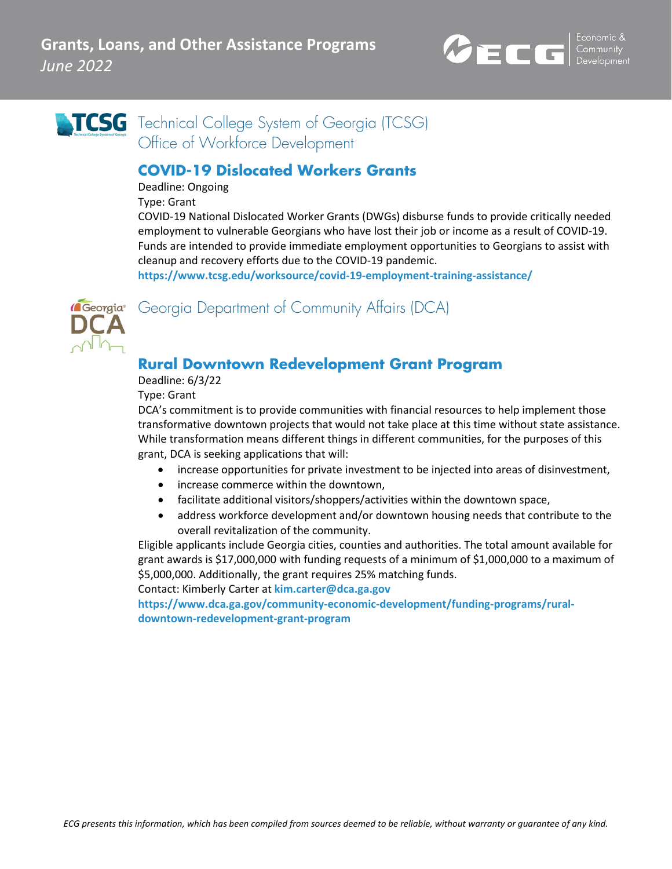

# **TCSG** Technical College System of Georgia (TCSG) Office of Workforce Development

### **COVID-19 Dislocated Workers Grants**

Deadline: Ongoing

Type: Grant

COVID-19 National Dislocated Worker Grants (DWGs) disburse funds to provide critically needed employment to vulnerable Georgians who have lost their job or income as a result of COVID-19. Funds are intended to provide immediate employment opportunities to Georgians to assist with cleanup and recovery efforts due to the COVID-19 pandemic.

**<https://www.tcsg.edu/worksource/covid-19-employment-training-assistance/>**



Georgia<sup>®</sup> Georgia Department of Community Affairs (DCA)

## **Rural Downtown Redevelopment Grant Program**

Deadline: 6/3/22

Type: Grant

DCA's commitment is to provide communities with financial resources to help implement those transformative downtown projects that would not take place at this time without state assistance. While transformation means different things in different communities, for the purposes of this grant, DCA is seeking applications that will:

- increase opportunities for private investment to be injected into areas of disinvestment,
- increase commerce within the downtown,
- facilitate additional visitors/shoppers/activities within the downtown space,
- address workforce development and/or downtown housing needs that contribute to the overall revitalization of the community.

Eligible applicants include Georgia cities, counties and authorities. The total amount available for grant awards is \$17,000,000 with funding requests of a minimum of \$1,000,000 to a maximum of \$5,000,000. Additionally, the grant requires 25% matching funds.

Contact: Kimberly Carter at **[kim.carter@dca.ga.gov](mailto:kim.carter@dca.ga.gov)**

**[https://www.dca.ga.gov/community-economic-development/funding-programs/rural](https://www.dca.ga.gov/community-economic-development/funding-programs/rural-downtown-redevelopment-grant-program)[downtown-redevelopment-grant-program](https://www.dca.ga.gov/community-economic-development/funding-programs/rural-downtown-redevelopment-grant-program)**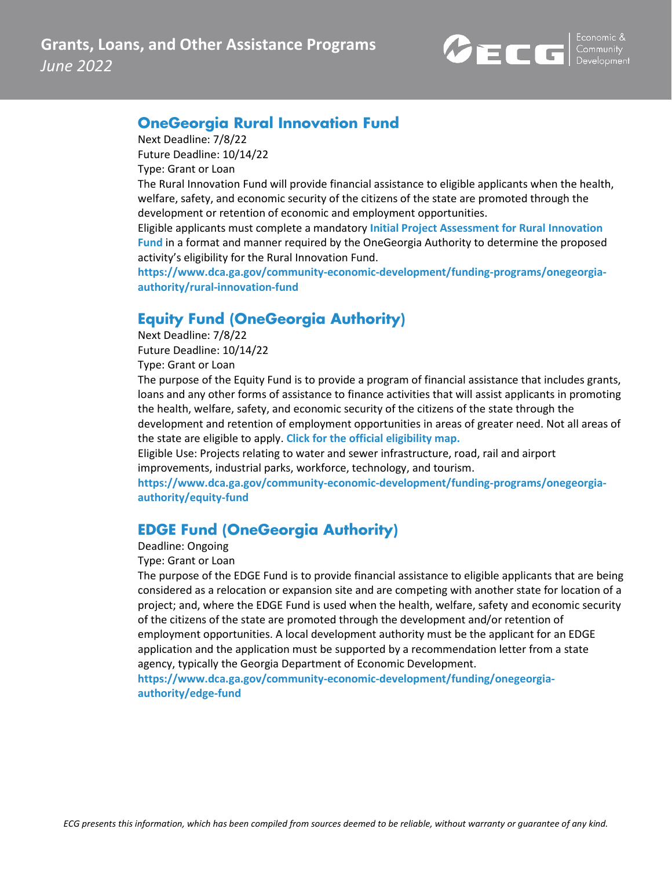

### **OneGeorgia Rural Innovation Fund**

Next Deadline: 7/8/22

Future Deadline: 10/14/22 Type: Grant or Loan

The Rural Innovation Fund will provide financial assistance to eligible applicants when the health, welfare, safety, and economic security of the citizens of the state are promoted through the development or retention of economic and employment opportunities.

Eligible applicants must complete a mandatory **[Initial Project Assessment for Rural Innovation](https://www.dca.ga.gov/sites/default/files/ipa_for_rural_innovation_fund.docx)  [Fund](https://www.dca.ga.gov/sites/default/files/ipa_for_rural_innovation_fund.docx)** in a format and manner required by the OneGeorgia Authority to determine the proposed activity's eligibility for the Rural Innovation Fund.

**[https://www.dca.ga.gov/community-economic-development/funding-programs/onegeorgia](https://www.dca.ga.gov/community-economic-development/funding-programs/onegeorgia-authority/rural-innovation-fund)[authority/rural-innovation-fund](https://www.dca.ga.gov/community-economic-development/funding-programs/onegeorgia-authority/rural-innovation-fund)**

## **Equity Fund (OneGeorgia Authority)**

Next Deadline: 7/8/22 Future Deadline: 10/14/22 Type: Grant or Loan

The purpose of the Equity Fund is to provide a program of financial assistance that includes grants, loans and any other forms of assistance to finance activities that will assist applicants in promoting the health, welfare, safety, and economic security of the citizens of the state through the development and retention of employment opportunities in areas of greater need. Not all areas of the state are eligible to apply. **[Click for the official eligibility map.](https://www.dca.ga.gov/sites/default/files/onegeorgia_official_map_12_2014_0.pdf)**

Eligible Use: Projects relating to water and sewer infrastructure, road, rail and airport improvements, industrial parks, workforce, technology, and tourism.

**[https://www.dca.ga.gov/community-economic-development/funding-programs/onegeorgia](https://www.dca.ga.gov/community-economic-development/funding-programs/onegeorgia-authority/equity-fund)[authority/equity-fund](https://www.dca.ga.gov/community-economic-development/funding-programs/onegeorgia-authority/equity-fund)**

## **EDGE Fund (OneGeorgia Authority)**

Deadline: Ongoing

Type: Grant or Loan

The purpose of the EDGE Fund is to provide financial assistance to eligible applicants that are being considered as a relocation or expansion site and are competing with another state for location of a project; and, where the EDGE Fund is used when the health, welfare, safety and economic security of the citizens of the state are promoted through the development and/or retention of employment opportunities. A local development authority must be the applicant for an EDGE application and the application must be supported by a recommendation letter from a state agency, typically the Georgia Department of Economic Development.

**[https://www.dca.ga.gov/community-economic-development/funding/onegeorgia](https://www.dca.ga.gov/community-economic-development/funding/onegeorgia-authority/edge-fund)[authority/edge-fund](https://www.dca.ga.gov/community-economic-development/funding/onegeorgia-authority/edge-fund)**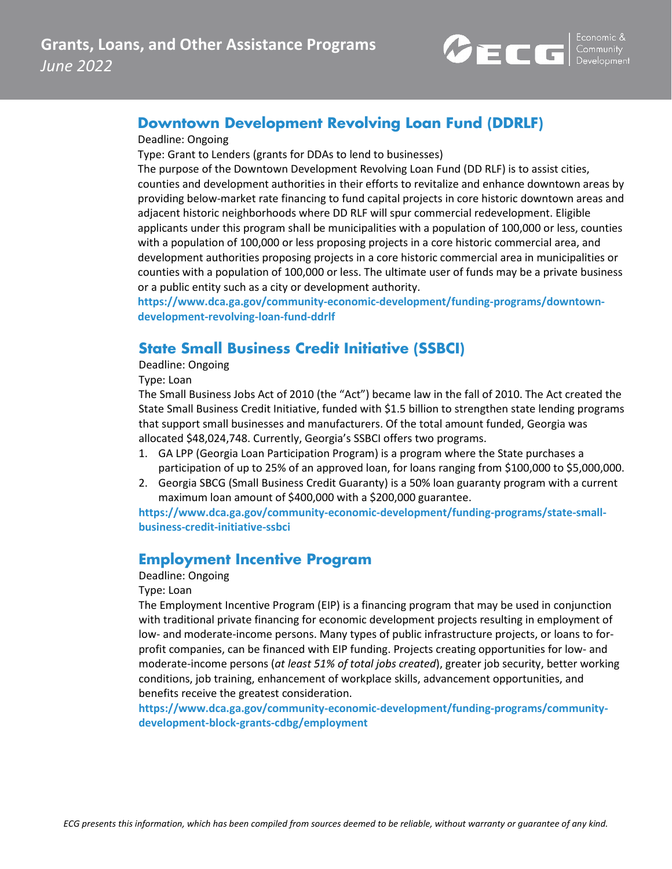

#### **Downtown Development Revolving Loan Fund (DDRLF)**

#### Deadline: Ongoing

Type: Grant to Lenders (grants for DDAs to lend to businesses)

The purpose of the Downtown Development Revolving Loan Fund (DD RLF) is to assist cities, counties and development authorities in their efforts to revitalize and enhance downtown areas by providing below-market rate financing to fund capital projects in core historic downtown areas and adjacent historic neighborhoods where DD RLF will spur commercial redevelopment. Eligible applicants under this program shall be municipalities with a population of 100,000 or less, counties with a population of 100,000 or less proposing projects in a core historic commercial area, and development authorities proposing projects in a core historic commercial area in municipalities or counties with a population of 100,000 or less. The ultimate user of funds may be a private business or a public entity such as a city or development authority.

**[https://www.dca.ga.gov/community-economic-development/funding-programs/downtown](https://www.dca.ga.gov/community-economic-development/funding-programs/downtown-development-revolving-loan-fund-ddrlf)[development-revolving-loan-fund-ddrlf](https://www.dca.ga.gov/community-economic-development/funding-programs/downtown-development-revolving-loan-fund-ddrlf)**

### **State Small Business Credit Initiative (SSBCI)**

Deadline: Ongoing

Type: Loan

The Small Business Jobs Act of 2010 (the "Act") became law in the fall of 2010. The Act created the State Small Business Credit Initiative, funded with \$1.5 billion to strengthen state lending programs that support small businesses and manufacturers. Of the total amount funded, Georgia was allocated \$48,024,748. Currently, Georgia's SSBCI offers two programs.

- 1. GA LPP (Georgia Loan Participation Program) is a program where the State purchases a participation of up to 25% of an approved loan, for loans ranging from \$100,000 to \$5,000,000.
- 2. Georgia SBCG (Small Business Credit Guaranty) is a 50% loan guaranty program with a current maximum loan amount of \$400,000 with a \$200,000 guarantee.

**[https://www.dca.ga.gov/community-economic-development/funding-programs/state-small](https://www.dca.ga.gov/community-economic-development/funding-programs/state-small-business-credit-initiative-ssbci)[business-credit-initiative-ssbci](https://www.dca.ga.gov/community-economic-development/funding-programs/state-small-business-credit-initiative-ssbci)**

#### **Employment Incentive Program**

#### Deadline: Ongoing

Type: Loan

The Employment Incentive Program (EIP) is a financing program that may be used in conjunction with traditional private financing for economic development projects resulting in employment of low- and moderate-income persons. Many types of public infrastructure projects, or loans to forprofit companies, can be financed with EIP funding. Projects creating opportunities for low- and moderate-income persons (*at least 51% of total jobs created*), greater job security, better working conditions, job training, enhancement of workplace skills, advancement opportunities, and benefits receive the greatest consideration.

**[https://www.dca.ga.gov/community-economic-development/funding-programs/community](https://www.dca.ga.gov/community-economic-development/funding-programs/community-development-block-grants-cdbg/employment)[development-block-grants-cdbg/employment](https://www.dca.ga.gov/community-economic-development/funding-programs/community-development-block-grants-cdbg/employment)**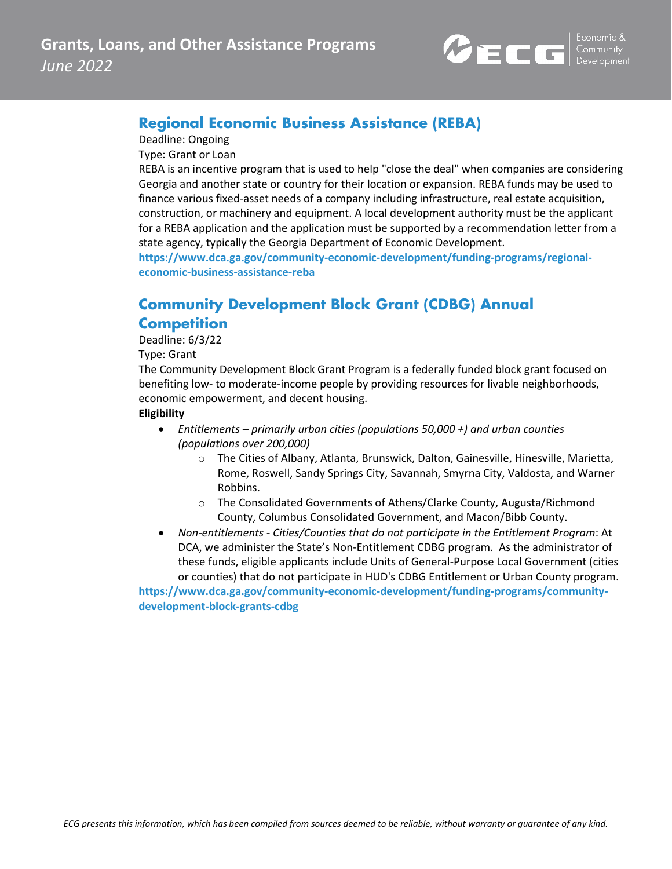

### **Regional Economic Business Assistance (REBA)**

Deadline: Ongoing

Type: Grant or Loan

REBA is an incentive program that is used to help "close the deal" when companies are considering Georgia and another state or country for their location or expansion. REBA funds may be used to finance various fixed-asset needs of a company including infrastructure, real estate acquisition, construction, or machinery and equipment. A local development authority must be the applicant for a REBA application and the application must be supported by a recommendation letter from a state agency, typically the Georgia Department of Economic Development.

**[https://www.dca.ga.gov/community-economic-development/funding-programs/regional](https://www.dca.ga.gov/community-economic-development/funding-programs/regional-economic-business-assistance-reba)[economic-business-assistance-reba](https://www.dca.ga.gov/community-economic-development/funding-programs/regional-economic-business-assistance-reba)**

## **Community Development Block Grant (CDBG) Annual Competition**

Deadline: 6/3/22

Type: Grant

The Community Development Block Grant Program is a federally funded block grant focused on benefiting low- to moderate-income people by providing resources for livable neighborhoods, economic empowerment, and decent housing.

#### **Eligibility**

- *Entitlements – primarily urban cities (populations 50,000 +) and urban counties (populations over 200,000)*
	- o The Cities of Albany, Atlanta, Brunswick, Dalton, Gainesville, Hinesville, Marietta, Rome, Roswell, Sandy Springs City, Savannah, Smyrna City, Valdosta, and Warner Robbins.
	- o The Consolidated Governments of Athens/Clarke County, Augusta/Richmond County, Columbus Consolidated Government, and Macon/Bibb County.
- *Non-entitlements - Cities/Counties that do not participate in the Entitlement Program*: At DCA, we administer the State's Non-Entitlement CDBG program. As the administrator of these funds, eligible applicants include Units of General-Purpose Local Government (cities or counties) that do not participate in HUD's CDBG Entitlement or Urban County program.

**[https://www.dca.ga.gov/community-economic-development/funding-programs/community](https://www.dca.ga.gov/community-economic-development/funding-programs/community-development-block-grants-cdbg)[development-block-grants-cdbg](https://www.dca.ga.gov/community-economic-development/funding-programs/community-development-block-grants-cdbg)**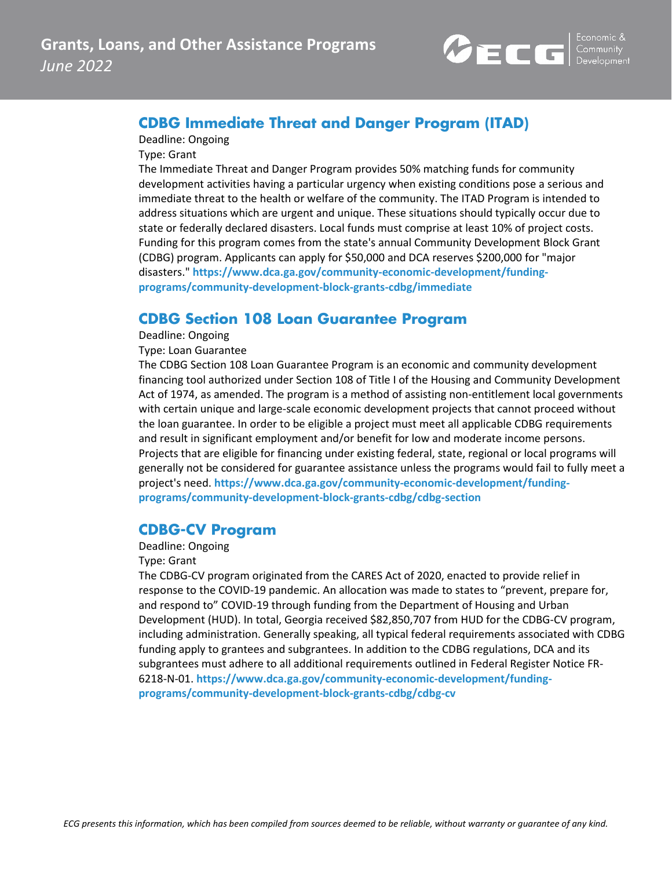

#### **CDBG Immediate Threat and Danger Program (ITAD)**

Deadline: Ongoing

Type: Grant

The Immediate Threat and Danger Program provides 50% matching funds for community development activities having a particular urgency when existing conditions pose a serious and immediate threat to the health or welfare of the community. The ITAD Program is intended to address situations which are urgent and unique. These situations should typically occur due to state or federally declared disasters. Local funds must comprise at least 10% of project costs. Funding for this program comes from the state's annual Community Development Block Grant (CDBG) program. Applicants can apply for \$50,000 and DCA reserves \$200,000 for "major disasters." **[https://www.dca.ga.gov/community-economic-development/funding](https://www.dca.ga.gov/community-economic-development/funding-programs/community-development-block-grants-cdbg/immediate)[programs/community-development-block-grants-cdbg/immediate](https://www.dca.ga.gov/community-economic-development/funding-programs/community-development-block-grants-cdbg/immediate)**

### **CDBG Section 108 Loan Guarantee Program**

Deadline: Ongoing

Type: Loan Guarantee

The CDBG Section 108 Loan Guarantee Program is an economic and community development financing tool authorized under Section 108 of Title I of the Housing and Community Development Act of 1974, as amended. The program is a method of assisting non-entitlement local governments with certain unique and large-scale economic development projects that cannot proceed without the loan guarantee. In order to be eligible a project must meet all applicable CDBG requirements and result in significant employment and/or benefit for low and moderate income persons. Projects that are eligible for financing under existing federal, state, regional or local programs will generally not be considered for guarantee assistance unless the programs would fail to fully meet a project's need. **[https://www.dca.ga.gov/community-economic-development/funding](https://www.dca.ga.gov/community-economic-development/funding-programs/community-development-block-grants-cdbg/cdbg-section)[programs/community-development-block-grants-cdbg/cdbg-section](https://www.dca.ga.gov/community-economic-development/funding-programs/community-development-block-grants-cdbg/cdbg-section)**

### **CDBG-CV Program**

Deadline: Ongoing

#### Type: Grant

The CDBG-CV program originated from the CARES Act of 2020, enacted to provide relief in response to the COVID-19 pandemic. An allocation was made to states to "prevent, prepare for, and respond to" COVID-19 through funding from the Department of Housing and Urban Development (HUD). In total, Georgia received \$82,850,707 from HUD for the CDBG-CV program, including administration. Generally speaking, all typical federal requirements associated with CDBG funding apply to grantees and subgrantees. In addition to the CDBG regulations, DCA and its subgrantees must adhere to all additional requirements outlined in Federal Register Notice FR-6218-N-01. **[https://www.dca.ga.gov/community-economic-development/funding](https://www.dca.ga.gov/community-economic-development/funding-programs/community-development-block-grants-cdbg/cdbg-cv)[programs/community-development-block-grants-cdbg/cdbg-cv](https://www.dca.ga.gov/community-economic-development/funding-programs/community-development-block-grants-cdbg/cdbg-cv)**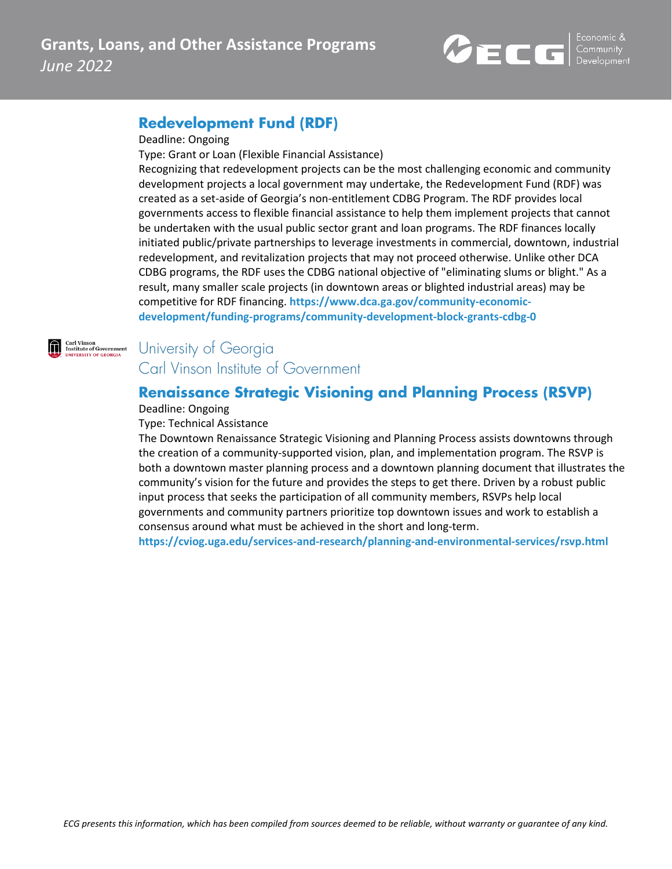

#### **Redevelopment Fund (RDF)**

#### Deadline: Ongoing

Type: Grant or Loan (Flexible Financial Assistance)

Recognizing that redevelopment projects can be the most challenging economic and community development projects a local government may undertake, the Redevelopment Fund (RDF) was created as a set-aside of Georgia's non-entitlement CDBG Program. The RDF provides local governments access to flexible financial assistance to help them implement projects that cannot be undertaken with the usual public sector grant and loan programs. The RDF finances locally initiated public/private partnerships to leverage investments in commercial, downtown, industrial redevelopment, and revitalization projects that may not proceed otherwise. Unlike other DCA CDBG programs, the RDF uses the CDBG national objective of "eliminating slums or blight." As a result, many smaller scale projects (in downtown areas or blighted industrial areas) may be competitive for RDF financing. **[https://www.dca.ga.gov/community-economic](https://www.dca.ga.gov/community-economic-development/funding-programs/community-development-block-grants-cdbg-0)[development/funding-programs/community-development-block-grants-cdbg-0](https://www.dca.ga.gov/community-economic-development/funding-programs/community-development-block-grants-cdbg-0)**



## University of Georgia Carl Vinson Institute of Government

### **Renaissance Strategic Visioning and Planning Process (RSVP)**

#### Deadline: Ongoing

#### Type: Technical Assistance

The Downtown Renaissance Strategic Visioning and Planning Process assists downtowns through the creation of a community-supported vision, plan, and implementation program. The RSVP is both a downtown master planning process and a downtown planning document that illustrates the community's vision for the future and provides the steps to get there. Driven by a robust public input process that seeks the participation of all community members, RSVPs help local governments and community partners prioritize top downtown issues and work to establish a consensus around what must be achieved in the short and long-term.

**<https://cviog.uga.edu/services-and-research/planning-and-environmental-services/rsvp.html>**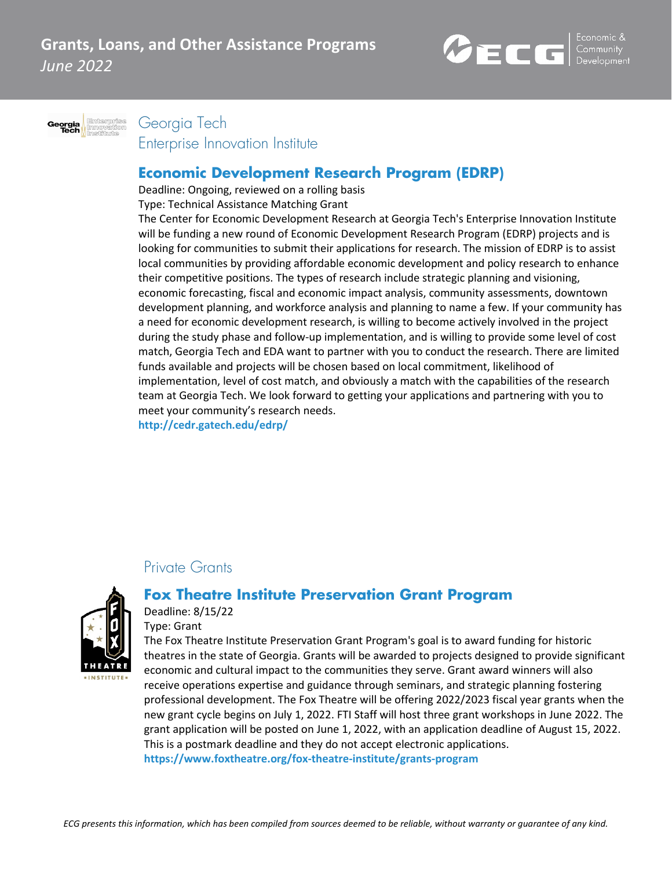



Georgia Tech

Enterprise Innovation Institute

### **Economic Development Research Program (EDRP)**

Deadline: Ongoing, reviewed on a rolling basis

Type: Technical Assistance Matching Grant

The Center for Economic Development Research at Georgia Tech's Enterprise Innovation Institute will be funding a new round of Economic Development Research Program (EDRP) projects and is looking for communities to submit their applications for research. The mission of EDRP is to assist local communities by providing affordable economic development and policy research to enhance their competitive positions. The types of research include strategic planning and visioning, economic forecasting, fiscal and economic impact analysis, community assessments, downtown development planning, and workforce analysis and planning to name a few. If your community has a need for economic development research, is willing to become actively involved in the project during the study phase and follow-up implementation, and is willing to provide some level of cost match, Georgia Tech and EDA want to partner with you to conduct the research. There are limited funds available and projects will be chosen based on local commitment, likelihood of implementation, level of cost match, and obviously a match with the capabilities of the research team at Georgia Tech. We look forward to getting your applications and partnering with you to meet your community's research needs.

**<http://cedr.gatech.edu/edrp/>**

### Private Grants



### **Fox Theatre Institute Preservation Grant Program**

Deadline: 8/15/22 Type: Grant

The Fox Theatre Institute Preservation Grant Program's goal is to award funding for historic theatres in the state of Georgia. Grants will be awarded to projects designed to provide significant economic and cultural impact to the communities they serve. Grant award winners will also receive operations expertise and guidance through seminars, and strategic planning fostering professional development. The Fox Theatre will be offering 2022/2023 fiscal year grants when the new grant cycle begins on July 1, 2022. FTI Staff will host three grant workshops in June 2022. The grant application will be posted on June 1, 2022, with an application deadline of August 15, 2022. This is a postmark deadline and they do not accept electronic applications. **<https://www.foxtheatre.org/fox-theatre-institute/grants-program>**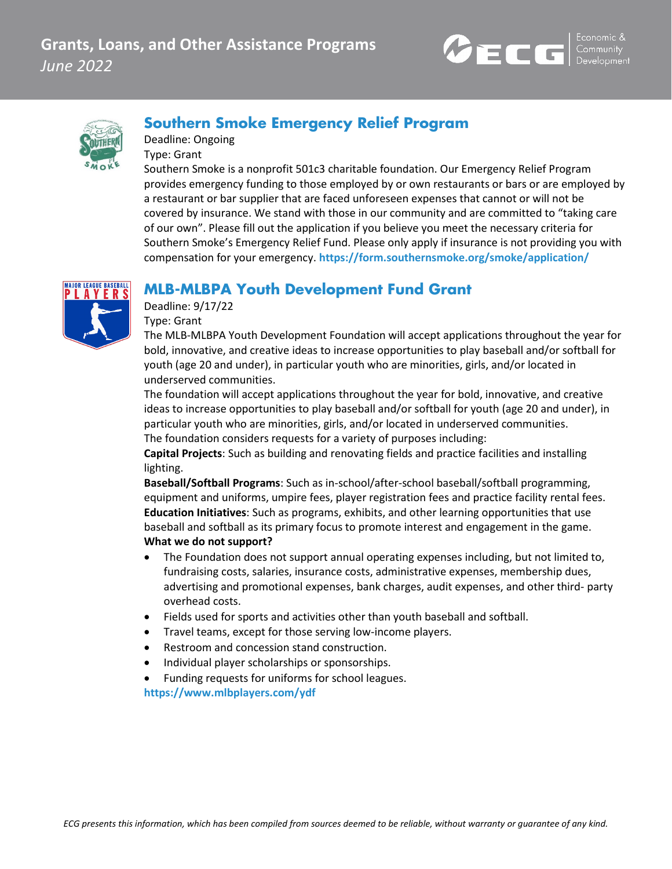



### **Southern Smoke Emergency Relief Program**

Deadline: Ongoing Type: Grant

Southern Smoke is a nonprofit 501c3 charitable foundation. Our Emergency Relief Program provides emergency funding to those employed by or own restaurants or bars or are employed by a restaurant or bar supplier that are faced unforeseen expenses that cannot or will not be covered by insurance. We stand with those in our community and are committed to "taking care of our own". Please fill out the application if you believe you meet the necessary criteria for Southern Smoke's Emergency Relief Fund. Please only apply if insurance is not providing you with compensation for your emergency. **<https://form.southernsmoke.org/smoke/application/>**

## **MLB-MLBPA Youth Development Fund Grant**



Deadline: 9/17/22 Type: Grant

The MLB-MLBPA Youth Development Foundation will accept applications throughout the year for bold, innovative, and creative ideas to increase opportunities to play baseball and/or softball for youth (age 20 and under), in particular youth who are minorities, girls, and/or located in underserved communities.

The foundation will accept applications throughout the year for bold, innovative, and creative ideas to increase opportunities to play baseball and/or softball for youth (age 20 and under), in particular youth who are minorities, girls, and/or located in underserved communities. The foundation considers requests for a variety of purposes including:

**Capital Projects**: Such as building and renovating fields and practice facilities and installing lighting.

**Baseball/Softball Programs**: Such as in-school/after-school baseball/softball programming, equipment and uniforms, umpire fees, player registration fees and practice facility rental fees. **Education Initiatives**: Such as programs, exhibits, and other learning opportunities that use baseball and softball as its primary focus to promote interest and engagement in the game. **What we do not support?**

- The Foundation does not support annual operating expenses including, but not limited to, fundraising costs, salaries, insurance costs, administrative expenses, membership dues, advertising and promotional expenses, bank charges, audit expenses, and other third- party overhead costs.
- Fields used for sports and activities other than youth baseball and softball.
- Travel teams, except for those serving low-income players.
- Restroom and concession stand construction.
- Individual player scholarships or sponsorships.
- Funding requests for uniforms for school leagues.

**<https://www.mlbplayers.com/ydf>**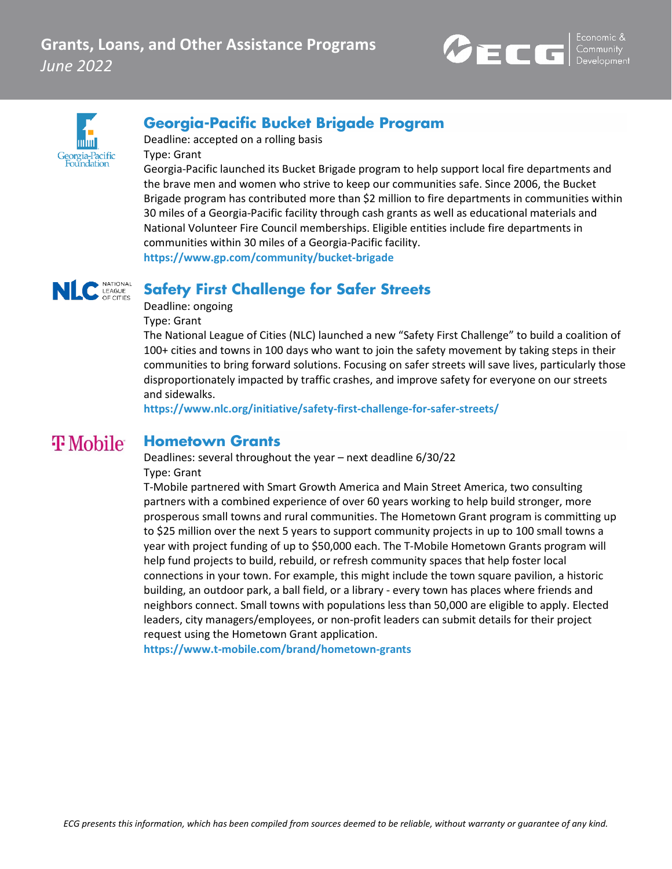



# **Georgia-Pacific Bucket Brigade Program**

Deadline: accepted on a rolling basis Type: Grant

Georgia-Pacific launched its Bucket Brigade program to help support local fire departments and the brave men and women who strive to keep our communities safe. Since 2006, the Bucket Brigade program has contributed more than \$2 million to fire departments in communities within 30 miles of a Georgia-Pacific facility through cash grants as well as educational materials and National Volunteer Fire Council memberships. Eligible entities include fire departments in communities within 30 miles of a Georgia-Pacific facility. **<https://www.gp.com/community/bucket-brigade>**

#### **Safety First Challenge for Safer Streets** OF CITIES

Deadline: ongoing

Type: Grant

The National League of Cities (NLC) launched a new "Safety First Challenge" to build a coalition of 100+ cities and towns in 100 days who want to join the safety movement by taking steps in their communities to bring forward solutions. Focusing on safer streets will save lives, particularly those disproportionately impacted by traffic crashes, and improve safety for everyone on our streets and sidewalks.

**<https://www.nlc.org/initiative/safety-first-challenge-for-safer-streets/>**

#### **T** Mobile **Hometown Grants**

Deadlines: several throughout the year – next deadline 6/30/22 Type: Grant

T-Mobile partnered with Smart Growth America and Main Street America, two consulting partners with a combined experience of over 60 years working to help build stronger, more prosperous small towns and rural communities. The Hometown Grant program is committing up to \$25 million over the next 5 years to support community projects in up to 100 small towns a year with project funding of up to \$50,000 each. The T-Mobile Hometown Grants program will help fund projects to build, rebuild, or refresh community spaces that help foster local connections in your town. For example, this might include the town square pavilion, a historic building, an outdoor park, a ball field, or a library - every town has places where friends and neighbors connect. Small towns with populations less than 50,000 are eligible to apply. Elected leaders, city managers/employees, or non-profit leaders can submit details for their project request using the Hometown Grant application.

**<https://www.t-mobile.com/brand/hometown-grants>**